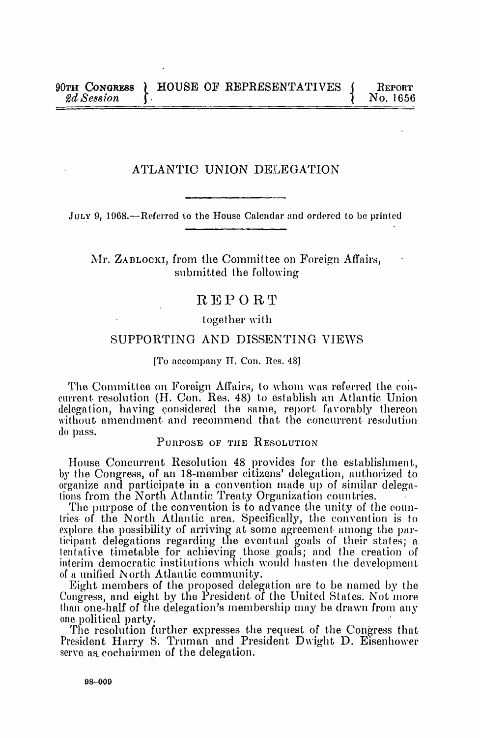## ATLANTIC UNION DELEGATION

JULY 9, 1968.-Referred to the House Calendar and ordered to be printed

## Mr. ZABLOCKI, from the Committee on Foreign Affairs, submitted the following

# REPORT

## together with

## SUPPORTING AND DISSENTING VIEWS

#### [To accompany IT. Con. Res. 48]

The Committee on Foreign Affairs, to whom was referred the concurrent resolution (II. Con. Res. 48) to establish an Atlantic Union delegation, having considered the same, report favorably thereon without amendment and recommend that the concurrent resolution do pass.

## PURPOSE OF THE RESOLUTION

House Concurrent Resolution 48 provides for the establishment, by the Congress, of an 18-member citizens' delegation, authorized to organize and participate in a convention made up of similar delegations from the North Atlantic Treaty Organization countries.

The purpose of the convention is to advance the unity of the countries- of the North Atlantic area. Specifically, the convention is to explore the possibility of arriving at some agreement among the par ticipant delegations regarding the eventual goals of their states; a. tentative timetable for achieving those goals; and the creation of interim democratic institutions which would hasten the development of <sup>a</sup> unified North Atlantic community.

Eight members of the proposed delegation are to be named by tile Congress, and eight by the President of the United States. Not more tlan one-half of tlhe delegation's membership may be drawn from any one political party.

The resolution further expresses the request of the Congress that President Harry S. Truman and President Dwight D. Eisenhower serve as cochairmen of the delegation.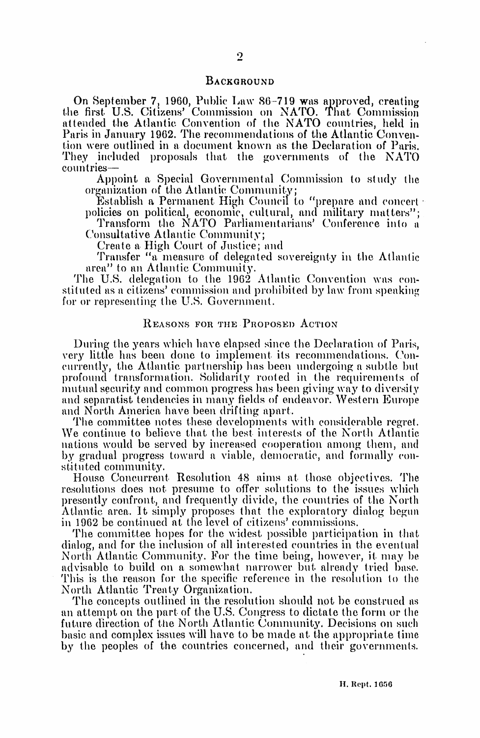#### BACKGROUND

On September 7, 1960, Public Law 86-719 was approved, creating tlie first. U.S. Citizens' Commission on NATO. That Commission attended the Atlantic Convention of tlhe NATO countries, held in Paris in January 1962. The recommendations of the Atlantic Convention were outlined in <sup>a</sup> document known as the Declaration of Paris. They included proposals that the governments of the NATO countries-

Appoint a Special Governmental Commission to study the organization of the Atlantic Community;

Establish a Permanent High Council to "prepare and concert-<br>policies on political, economic, cultural, and military matters";

Transform the NATO Parliamentarians' Conference into a Consultative Atlantic Community;

Create <sup>a</sup> High Court of Justice; and

Transfer "a measure of delegated sovereignty in the Atlantic area" to an Atlantic Community.

The U.S. delegation to the 1962 Atlantic Convention was constituted as <sup>a</sup> citizens' commission and prohibited by law\ from speaking for or representing the U.S. Government.

### REASONS FOR THE PROPOSED ACTION

During the years which have elapsed since the Declaration of Paris, very little has been done to implement its recommendations. Coneurrently, the Atlantic partnership has been undergoing a subtle but profound transformation. Solidarity rooted in the requirements of mutual security and common progress has been giving way to diversity and separatist tendencies in many fields of endeavor. Western Eutrope and North America. have been drifting apart.

The committee notes these developments with considerable regret. We continue to believe that the best interests of the North Atlantic nations would be served by increased cooperation among them, and by gradual progress toward a viable, democratic, and formally constitited community.

House Concurrent Resolution 48 aims at those objectives. The resolutions does not presume to offer solutions to the issues which presently confront, and frequently divide, the countries of the North Atlantic area. It simply proposes that the exploratory dialog begun in 1962 be continued at the level of citizens' commissions.

The committee hopes for the widest possible participation in that dialog, and for the inclusion of all interested countries in the eventual North Atlantic Community. For the time being, however, it may be advisable to build on a somewhat narrower but already tried base. This is the reason for the specific reference in the resolution to the North Atlantic Treaty Organization.

The concepts outlined in the resolution should not be construed as an attempt on the part of the U.S. Congress to dictate the form or the future direction of the North Atlantic Community. Decisions on such basic and complex issues will have to be made at the appropriate time by the peoples of the countries concerned, and their governments.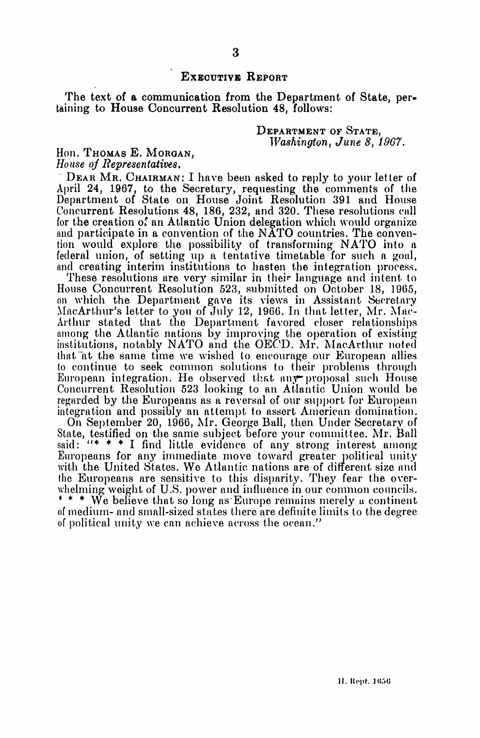## EXECUTIVE REPORT

The text of <sup>a</sup> communication from the Department of State, per taining to House Concurrent Resolution 48, follows:

> DEPARTMENT OF STATE, Washington, June 8, 1967.

## Hon. Thomas E. Morgan, House of Representatives.

DEAR MR. CHAIRMAN: <sup>I</sup> have been asked to reply to your letter of April 24, 1967, to the Secretary, requesting the comments of the Department of State on House Joint Resolution 391 and House Concurrent Resolutions 48, 186, 232, and 320. These resolutions call for the creation of an Atlantic Union delegation which would organize and participate in <sup>a</sup> convention of the NATO countries. The convention would explore the possibility of transforming NATO into <sup>a</sup> and creating interim institutions to hasten the integration process.<br>These resolutions are very similar in their language and intent to

House Concurrent Resolution 523, submitted on October 18, 1965, on which the Department gave its views in Assistant Secretary MacArthur's letter to you of July 12, 1966. In that letter, Mr. Mac-Arthur stated that the Department favored closer relationships among the Atlantic nations by improving the operation of existing institutions, notably NATO and the OECD. Mr. MacArthur noted that at the same time we wished to encourage our European allies to continue to seek common solutions to their problems through European integration. He observed that any proposal such House Concurrent Resolution 523 looking to an Atlantic Union would be regarded by the Europeans as a reversal of our support for European integration and possibly an attempt to assert American domination.

On September 20, 1966, Mr. George Ball, then Under Secretary of State, testified on the same subject before your committee. Mr. Ball said:  $"$  \* \* I find little evidence of any strong interest among Europeans for any immediate move toward greater political unity with the United States. We Atlantic nations are of different size and the Europeans are sensitive to this disparity. They fear the overwhelming weight of U.S. power and influence in our common councils. \* \* \* We believe that so long as-Europe remains merely <sup>u</sup> continent of medium- and small-sized states there are definite limits to the degree of political unity we can achieve across the ocean."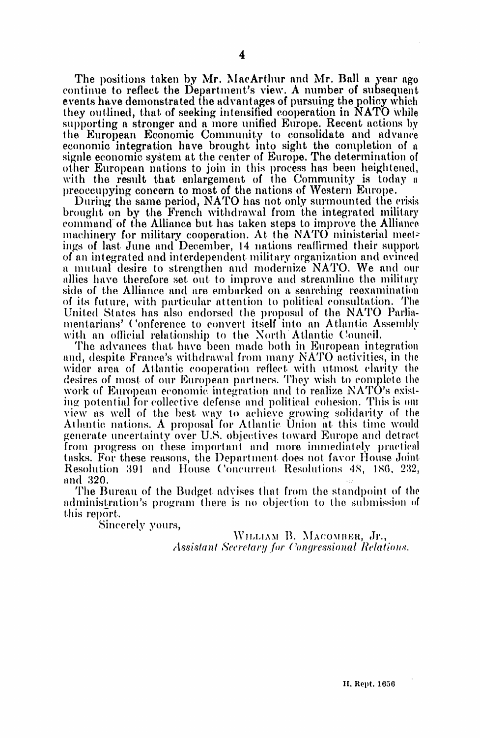The positions taken by Mr. MacArthur and Mr. Ball a year ago continue to reflect the Department's view. A number of subsequent events have demonstrated the advantages of pursuing the policy which they outlined, that of seeking intensified cooperation in NATO while supporting a stronger and a more unified Europe. Recent actions by the European Economic Community to consolidate and advance economic integration have brought into sight the completion of a signle economic system at the center of Europe. The determination of other European nations to join in this process has been heightened, with the result that enlargement of the Community is today a preoccupying concern to most of the nations of Western Europe.

During the same period, NATO has not only surmounted the crisis brought on by the French withdrawal from the integrated military command of the Alliance but has taken steps to improve the Alliance machinery for military cooperation. At the NATO ministerial meetings of last June and December, 14 nations reaffirmed their support of an integrated and interdependent military organization and evinced a mutual desire to strengthen and modernize NATO. We and our allies have therefore set out to improve and streamline the military side of the Alliance and are embarked on a searching reexamination of its future, with particular attention to political consultation. The United States has also endorsed the proposal of the NATO Parliamentarians' Conference to convert itself into an Atlantic Assembly with an official relationship to the North Atlantic Council.

The advances that have been made both in European integration and, despite France's withdrawal from many NATO activities, in the wider area of Atlantic cooperation reflect with utmost clarity the desires of most of our European partners. They wish to complete the work of European economic integration and to realize NATO's existing potential for collective defense and political cohesion. This is our view as well of the best way to achieve growing solidarity of the Atlantic nations. A proposal for Atlantic Union at this time would generate uncertainty over U.S. objectives toward Europe and detract from progress on these important and more immediately practical tasks. For these reasons, the Department does not favor House Joint Resolution 391 and House Concurrent Resolutions 48, 186, 232, and 320.

The Bureau of the Budget advises that from the standpoint of the administration's program there is no objection to the submission of this report.

Sincerely yours,

WILLIAM B. MACOMBER, Jr., Assistant Secretary for Congressional Relations.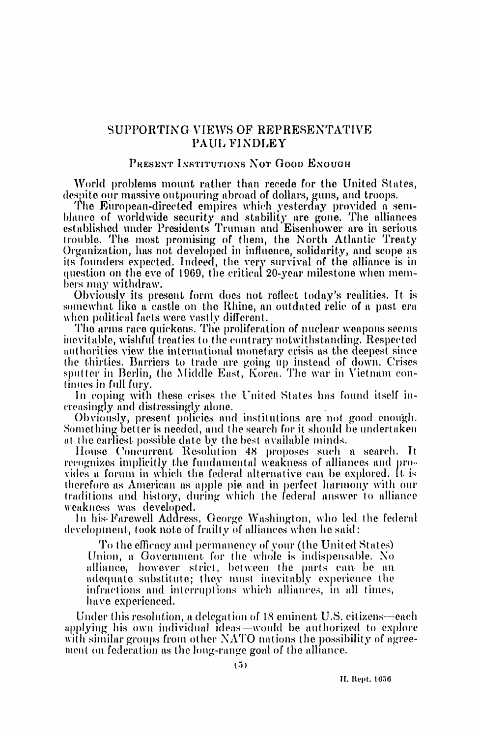## SUPPORTING VIEWS OF REPRESENTATIVE PAUL FINDLEY

## PRESENT INSTITUTIONS NOT GOOD ENOUGH

World problems mount rather than recede for the United States, despite our massive outpouring abroad of dollars, guns, and troops.

The European-directed empires which yesterday provided a semblance of worldwide security and stability are gone. The alliances established under Presidents Truman and Eisenhower are in serious trouble. The most promising of them, the North Atlantic Treaty Organization, has not developed in influence, solidarity, and scope as its founders expected. Indeed, the very survival of the alliance is in question on the eve of 1969, the critical 20-year milestone when members may withdraw.

Obviously its present form does not reflect today's realities. It is somewhat like a castle on the Rhine, an outdated relic of a past era when political facts were vastly different.

The arms race quickens. The proliferation of nuclear weapons seems inevitable, wishful treaties to the contrary notwithstanding. Respected authorities view the international monetary crisis as the deepest since the thirties. Barriers to trade are going up instead of down. Crises sputter in Berlin, the Middle East, Korea. The war in Vietnam continues in full fury.

In coping with these crises the United States has found itself increasingly and distressingly alone.

Obviously, present policies and institutions are not good enough. Something better is needed, and the search for it should be undertaken at the earliest possible date by the best available minds.

House Concurrent Resolution 48 proposes such a search. It recognizes implicitly the fundamental weakness of alliances and provides a forum in which the federal alternative can be explored. It is therefore as American as apple pie and in perfect harmony with our traditions and history, during which the federal answer to alliance weakness was developed.

In his-Farewell Address, George Washington, who led the federal development, took note of frailty of alliances when he said:

To the efficacy and permanency of your (the United States) Union, a Government for the whole is indispensable. No alliance, however strict, between the parts can be an adequate substitute; they must inevitably experience the infractions and interruptions which alliances, in all times, have experienced.

Under this resolution, a delegation of 18 eminent U.S. citizens—each applying his own individual ideas—would be authorized to explore with similar groups from other NATO nations the possibility of agreement on federation as the long-range goal of the alliance.

H. Rept. 1656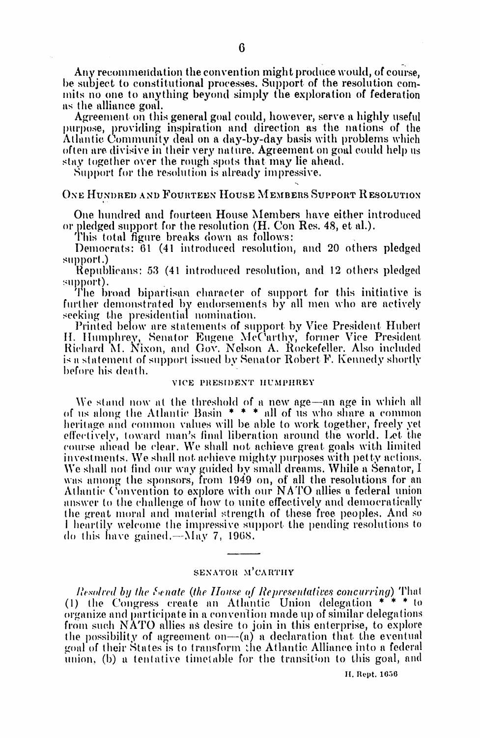Any recommendation the convention might produce would, of course, be subject to constitutional processes. Support of the resolution commits no one to anything beyond simply the exploration of federation as the alliance goal.

Agreement on this general goal could, however, serve a highly useful purpose, providing inspiration and direction as the nations of the Atlantic Community deal on a day-by-day basis with problems which often are divisive in their very nature. Agreement on goal could help us stay together over the rough spots that may lie ahead.

Support for the resolution is already impressive.

### ONE HUNDRED AND FOURTEEN HOUSE MEMBERS SUPPORT RESOLUTION

One hundred and fourteen House Members have either introduced or pledged support for the resolution (H. Con Res. 48, et al.).

This total figure breaks down as follows:

Democrats: 61 (41 introduced resolution, and 20 others pledged support.)

Republicans: 53 (41 introduced resolution, and 12 others pledged support).

The broad bipartisan character of support for this initiative is further demonstrated by endorsements by all men who are actively seeking the presidential nomination.

Printed below are statements of support by Vice President Hubert<br>H. Humphrey, Senator Eugene McCarthy, former Vice President Richard M. Nixon, and Gov. Nelson A. Rockefeller. Also included is a statement of support issued by Senator Robert F. Kennedy shortly before his death.

#### VICE PRESIDENT HUMPHREY

We stand now at the threshold of a new age—an age in which all of us along the Atlantic Basin  $* * *$  all of us who share a common heritage and common values will be able to work together, freely yet effectively, toward man's final liberation around the world. Let the course ahead be clear. We shall not achieve great goals with limited investments. We shall not achieve mighty purposes with petty actions. We shall not find our way guided by small dreams. While a Senator, I was among the sponsors, from 1949 on, of all the resolutions for an Atlantic Convention to explore with our NATO allies a federal union answer to the challenge of how to unite effectively and democratically the great moral and material strength of these free peoples. And so I heartily welcome the impressive support the pending resolutions to do this have gained.— $\Delta$ Iay 7, 1968.

## SENATOR M'CARTHY

Resolved by the Senate (the House of Representatives concurring) That (1) the Congress create an Atlantic Union delegation \*\*\* \* to organize and participate in a convention made up of similar delegations from such NATO allies as desire to join in this enterprise, to explore the possibility of agreement on- $(a)$  a declaration that the eventual goal of their States is to transform the Atlantic Alliance into a federal union, (b) a tentative timetable for the transition to this goal, and

H. Rept. 1656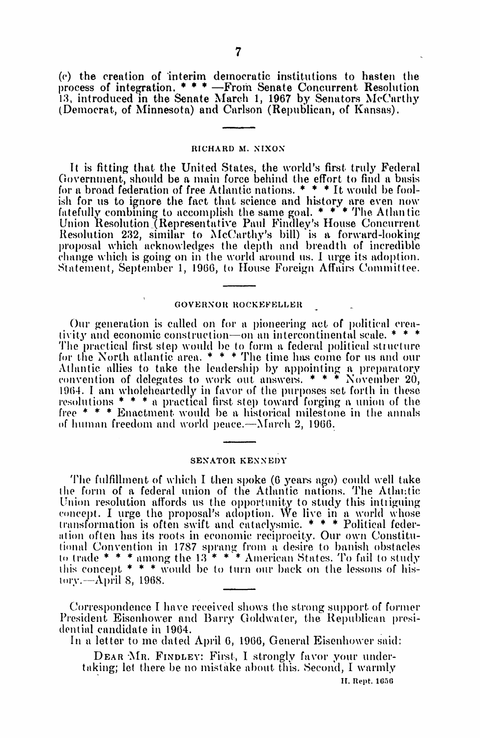(c) the creation of 'interim democratic institutions to hasten tile process of integration.  $***$  -From Senate Concurrent Resolution 13, introduced in the Senate March 1, 1967 by Senators McCarthy (Democrat, of Minnesota) and Carlson (Repuilican, of Kansas).

#### RICHARD M. NIXON

It is fitting that the United States, the world's first truly Federal Government, should be a main force behind the effort to find <sup>a</sup> basis for a broad federation of free Atlantic nations.  $* * * It$  would be foolish for us to ignore the fact that science and history are even now fatefully combining to accomplish the same goal. \* \* \* The Atlan tic Union Resolution (Representative Paul Findley's House Concurrent Resolution 232, similar to McCarthy's bill) is a forward-looking proposal which acknowledges tle depth and breadth of incredible change which is going on in the world around us. I urge its adoption. Statement, September 1, 1966, to House Foreign Affairs Committee.

### GOVERNOR ROCKEFELLER

Our generation is called on for a pioneering act of political creativity and economic construction-on an intercontinental scale.  $*$   $*$   $*$ The practical first step would be to form a federal political structure for the North atlantic area.  $* * *$  The time has come for us and our Atlantic allies to take the leadership by appointing a preparatory convention of delegates to work out answers.  $* * *$  November 20, 1964. I am wholeheartedly in favor of the purposes set forth in these resolutions  $* * * a$  practical first step toward forging a union of the free \* \* \* Enactment would be a historical milestone in the annuls of human freedom and world peace. $-M$ arch 2, 1966.

#### SENATOR KENNEDY

The fulfillment of which I then spoke (6 years ago) could well take the form of a federal union of the Atlantic nations. The Atlantic Union resolution affords us the opportunity to study this intriguing concept. I urge the proposal's adoption. We live in a world whose transformation is often swift and cataclysmic. \* \* \* Political federation often has its roots in economic reciprocity. Our own Constitutional Convention in 1787 sprang from <sup>a</sup> desire to banish obstacles to trade \* \* \* among the <sup>13</sup> \* \* \* Amlerican States. To fail to study his concept  $*$   $*$   $*$  would be to turn our back on the lessons of his- $\text{tory}$ ,  $-A$ pril 8, 1968.

Correspondence I have received shows the strong support of former President Eisenhower and Barry Goldwater, the Republican presidential candidate in 1964.

In a letter to me dated April 6, 1966, General Eisenhower said:

DEAR MR. FINDLEY: First, I strongly favor your undertaking; let there be no mistake about this. Second, I warmly II. Rept. 1656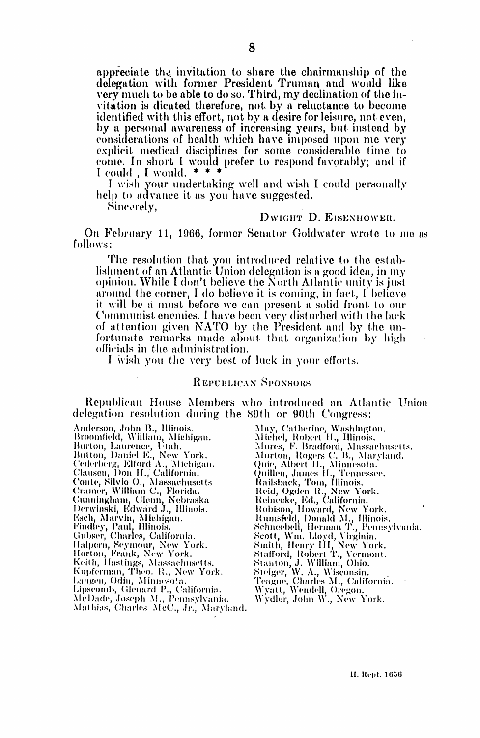appreciate the invitation to share the chairmanship of the delegation with former President Truman and would like very much to be able to do so. Third, my declination of the invitation is dicated therefore, not by a reluctance to become identified with this effort, not by a desire for leisure, not even, by a personal awareness of increasing years, but instead by considerations of health which have imposed upon me very explicit medical disciplines for some considerable time to come. In short I would prefer to respond favorably; and if

I wish your undertaking well and wish I could personally help to advance it as you have suggested.

Sincerely,

### DWIGHT D. EISENHOWER.

On February 11, 1966, former Senator Goldwater wrote to me as follows:

The resolution that you introduced relative to the establishment of an Atlantic Union delegation is a good idea, in my opinion. While I don't believe the North Atlantic unity is just around the corner, I do believe it is coming, in fact, I believe it will be a must before we can present a solid front to our Communist enemies. I have been very disturbed with the lack of attention given NATO by the President and by the unfortunate remarks made about that organization by high officials in the administration.

I wish you the very best of luck in your efforts.

### REPUBLICAN SPONSORS

Republican House Members who introduced an Atlantic Union delegation resolution during the 89th or 90th Congress:

Anderson, John B., Illinois. Broomfield, William, Michigan. Burton, Laurence, Utah. Burton, Laurence, Otan.<br>Button, Daniel E., New York.<br>Cederberg, Elford A., Michigan.<br>Clausen, Don H., California.<br>Conte, Silvio O., Massachusetts<br>Cramer, William C., Florida. Cunningham, Glenn, Nebraska<br>Derwinski, Edward J., Illinois. Esch, Marvin, Michigan.<br>Findley, Paul, Illinois.<br>Gubser, Charles, California. Gubser, Charles, California.<br>Halpern, Seymour, New York.<br>Horton, Frank, New York.<br>Keith, Hastings, Massachusetts.<br>Kupferman, Theo. R., New York.<br>Langen, Odin, Minnesota.<br>Lipscomb, Glenard P., California.<br>McDade, Joseph M.,

May, Catherine, Washington.<br>
Michel, Robert H., Illinois.<br>
Mores, F. Bradford, Massachusetts.<br>
Morton, Rogers C. B., Maryland.<br>
Quie, Albert H., Minnesota.<br>
Quillen, James H., Tennessee.<br>
Railsback, Tom, Illinois.<br>
Reid, O Remecke, Ed., Camorana.<br>Robison, Howard, New York.<br>Rumsfeld, Donald M., Hlinois.<br>Schneebeli, Herman T., Pennsylvania.<br>Scott, Wm. Lloyd, Virginia.<br>Stanton, Robert T., Vermont.<br>Stanton, J. Willinm Obio. Stanton, J. William, Ohio.<br>Stanton, J. William, Ohio.<br>Steiger, W. A., Wisconsin.<br>Teague, Charles M., California.<br>Wyatt, Wendell, Oregon.<br>Wydler, John W., New York.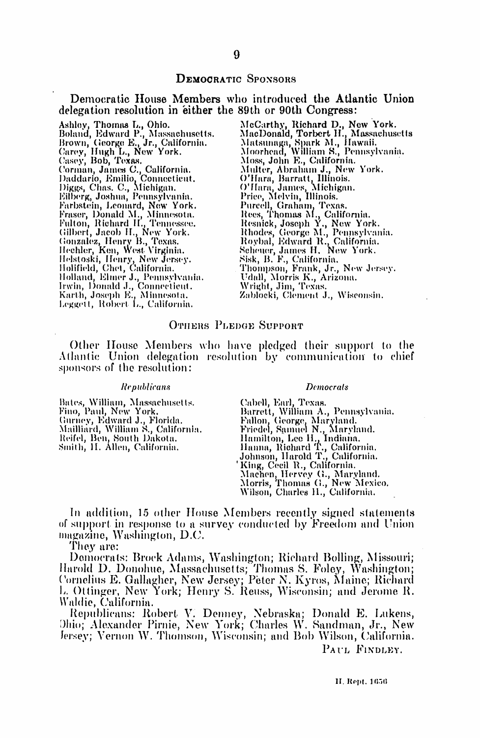### **DEMOCRATIC SPONSORS**

### Democratic House Members who introduced the Atlantic Union delegation resolution in either the 89th or 90th Congress:

Ashley, Thomas L., Ohio.<br>Boland, Edward P., Massachusetts.<br>Brown, George E., Jr., California.<br>Carey, Hugh L., New York.<br>Casey, Bob, Texas.<br>Corman, James C., California.<br>Daddario, Emilio, Connecticut.<br>Diggs, Chas. C., Michi Farbstein, Leonard, New York.<br>Fraser, Donald M., Minnesota.<br>Fulton, Richard H., Tennessee.<br>Gilbert, Jacob H., New York.<br>Gonzalez, Henry B., Texas.<br>Hechler, Ken, West Virginia.<br>Helstoski, Henry, New Jersey.<br>Holifield, Chet,

McCarthy, Richard D., New York.<br>MacDonald, Torbert H., Massachusetts<br>Matsumaga, Spark M., Hawaii.<br>Moorhead, William S., Pennsylvania. Moss, John E., California.<br>Multer, Abraham J., New York.<br>O'Hara, Barratt, Illinois.<br>O'Hara, James, Michigan.<br>Price, Melvin, Illinois.<br>Purcell, Graham, Texas.<br>Rees, Thomas M., California.<br>Resnick, Joseph Y., New York.<br>Rosni Moss, John E., California. Zablocki, Clement J., Wisconsin.

#### OTHERS PLEDGE SUPPORT

Other House Members who have pledged their support to the Atlantic Union delegation resolution by communication to chief sponsors of the resolution:

#### **Republicans**

Bates, William, Massachusetts.<br>Fino, Paul, New York. Gurney, Edward J., Florida.<br>Mailliard, William S., California. Reifel, Ben, South Dakota.<br>Smith, H. Allen, California.

#### **Democrats**

Cabell, Earl, Texas.<br>Barrett, William A., Pennsylvania.<br>Fallon, George, Maryland.<br>Friedel, Samuel N., Maryland.<br>Hamilton, Lee H., Indiana.<br>Hanna, Richard T., California.<br>Johnson, Harold T., California.<br>King Oll R. Californ 'King, Cecil R., California. Machen, Hervey G., Maryland.<br>Machen, Hervey G., Maryland.<br>Morris, Thomas G., New Mexico.<br>Wilson, Charles H., California.

In addition, 15 other House Members recently signed statements of support in response to a survey conducted by Freedom and Union  $magazine$ , Washington, D.C.

They are:

Democrats: Brock Adams, Washington; Richard Bolling, Missouri; Bohoviaco, Block Adams, Washington, Itlehard Bohing, Bissouri,<br>Harold D. Donohue, Massachusetts; Thomas S. Foley, Washington;<br>Cornelius E. Gallagher, New Jersey; Peter N. Kyros, Maine; Richard<br>L. Ottinger, New York; Henry Waldie, California.

Republicans: Robert V. Denney, Nebraska; Donald E. Lukens, Ohio; Alexander Pirnie, New York; Charles W. Sandman, Jr., New Jersey; Vernon W. Thomson, Wisconsin; and Bob Wilson, California. PAUL FINDLEY.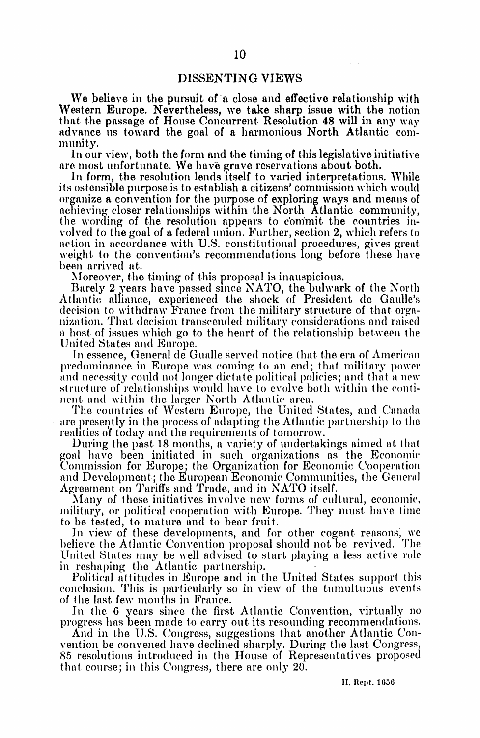## DISSENTING VIEWS

We believe in the pursuit of a close and effective relationship with Western Europe. Nevertheless, we take sharp issue with the notion that the passage of House Concurrent Resolution 48 will in any way advance us toward the goal of a harmonious North Atlantic community.

In our view, both the form and the timing of this legislative initiative are most unfortunate. We have grave reservations about both.

In form, the resolution lends itself to varied interpretations. While its ostensible purpose is to establish <sup>a</sup> citizens' commission which would organize <sup>a</sup> convention for the purpose of exploring ways and means of achieving closer relationships within the North Atlantic community, the wording of the resolution appears to commit the countries involved to the goal of a federal union. Further, section 2, which refers to action in accordance with U.S. constitutional procedures, gives great weight to the convention's recommendations long before these have been arrived at.

Moreover, the timing of this proposal is inauspicious.

Barely <sup>2</sup> years have passed since NATO, the bulwark of the North Atlantic alliance, experienced the shock of President de Gaulle's decision to withdraw France from the military structure of that organization. That decision transcended military considerations and raised a host of issues which go to the heart of the relationship between the United States and Europe.

In essence, General de Gualle served notice that the era of American predominance in Europe was coming to an end; that military power and necessity could not longer dictate political policies; and that a new structure of relationships would have to evolve both within the continent and within the larger North Atlantic area.

The countries of Western Europe, the United States, and Canada are presently in the process of adapting the Atlantic partnership to the realities of today and the requirements of tomorrow.

During the past 18 months, a variety of undertakings aimed at that goal have been initiated in such organizations as the Economic and Development; the European Economic Communities, the General Agreement on Tariffs and Trade, and in NATO itself.

Many of these initiatives involve new forms of cultural, economic, military, or political cooperation with Europe. They must have time to be tested, to mature and to bear fruit.

In view of these developments, and for other cogent reasons, we believe the Atlantic Convention proposal should not be revived. 'I'he United States may be well advised to start playing <sup>a</sup> less active role in reshaping the Atlantic partnership.

Political attitudes in Europe and in the United States support this conclusion. This is particularly so in view of the tumultuous events of the last, few months in France.

In the 6 years since the first Atlantic Convention, virtually no progress has been made to carry out its resounding recommendations.

And in the U.S. Congress, suggestions that another Atlantic Convention be convened have declined sharply. During the last Congress, 85 resolutions introduced in the House of Representatives proposed that course; in this Congress, there are only 20.

II. Rept. 1056